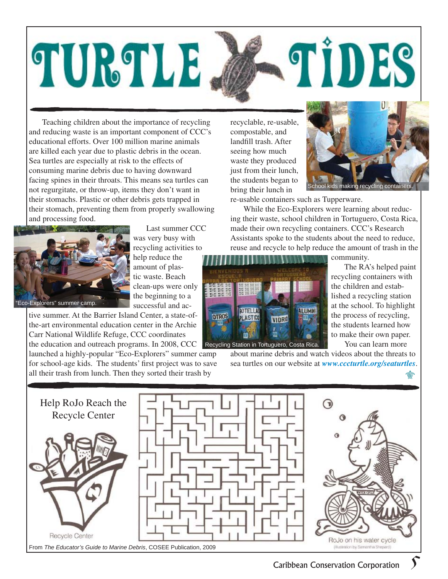## TIDES TURTLE

Teaching children about the importance of recycling and reducing waste is an important component of CCC's educational efforts. Over 100 million marine animals are killed each year due to plastic debris in the ocean. Sea turtles are especially at risk to the effects of consuming marine debris due to having downward facing spines in their throats. This means sea turtles can not regurgitate, or throw-up, items they don't want in their stomachs. Plastic or other debris gets trapped in their stomach, preventing them from properly swallowing and processing food.



Last summer CCC was very busy with recycling activities to

help reduce the amount of plastic waste. Beach clean-ups were only the beginning to a successful and ac-

tive summer. At the Barrier Island Center, a state-ofthe-art environmental education center in the Archie Carr National Wildlife Refuge, CCC coordinates the education and outreach programs. In 2008, CCC Recycling Station in Tortuguero, Costa Rica.

launched a highly-popular "Eco-Explorers" summer camp for school-age kids. The students' first project was to save all their trash from lunch. Then they sorted their trash by

recyclable, re-usable, compostable, and landfill trash. After seeing how much waste they produced just from their lunch, the students began to bring their lunch in



making recycling containe

re-usable containers such as Tupperware.

While the Eco-Explorers were learning about reducing their waste, school children in Tortuguero, Costa Rica, made their own recycling containers. CCC's Research Assistants spoke to the students about the need to reduce, reuse and recycle to help reduce the amount of trash in the



community.

The RA's helped paint recycling containers with the children and established a recycling station at the school. To highlight the process of recycling, the students learned how to make their own paper. You can learn more

about marine debris and watch videos about the threats to sea turtles on our website at *www.cccturtle.org/seaturtles*.